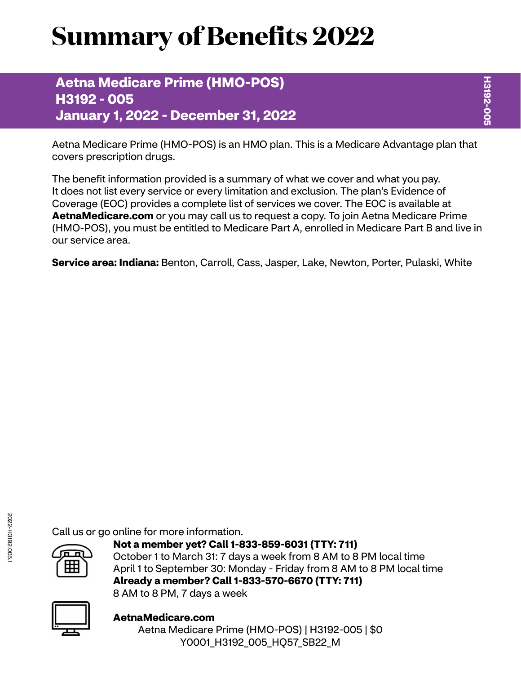# **Summary of Benefits 2022**

**Aetna Medicare Prime (HMO-POS) H3192 - 005 January 1, 2022 - December 31, 2022**

Aetna Medicare Prime (HMO-POS) is an HMO plan. This is a Medicare Advantage plan that covers prescription drugs.

The benefit information provided is a summary of what we cover and what you pay. It does not list every service or every limitation and exclusion. The plan's Evidence of Coverage (EOC) provides a complete list of services we cover. The EOC is available at **[AetnaMedicare.com](http://AetnaMedicare.com)** or you may call us to request a copy. To join Aetna Medicare Prime (HMO-POS), you must be entitled to Medicare Part A, enrolled in Medicare Part B and live in our service area.

**Service area: Indiana:** Benton, Carroll, Cass, Jasper, Lake, Newton, Porter, Pulaski, White

Call us or go online for more information.



**Not a member yet? Call 1-833-859-6031 (TTY: 711)** October 1 to March 31: 7 days a week from 8 AM to 8 PM local time April 1 to September 30: Monday - Friday from 8 AM to 8 PM local time **Already a member? Call 1-833-570-6670 (TTY: 711)** 8 AM to 8 PM, 7 days a week



**[AetnaMedicare.com](http://AetnaMedicare.com)** Aetna Medicare Prime (HMO-POS) | H3192-005 | \$0 Y0001\_H3192\_005\_HQ57\_SB22\_M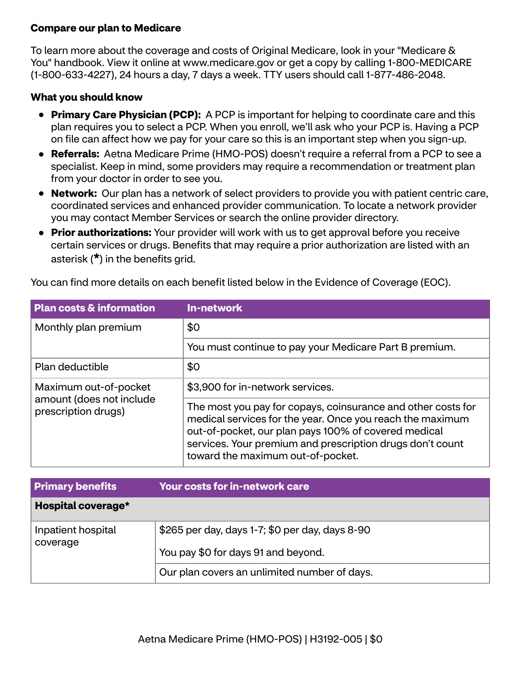### **Compare our plan to Medicare**

To learn more about the coverage and costs of Original Medicare, look in your "Medicare & You" handbook. View it online at<www.medicare.gov>or get a copy by calling 1-800-MEDICARE (1-800-633-4227), 24 hours a day, 7 days a week. TTY users should call 1-877-486-2048.

#### **What you should know**

- **Primary Care Physician (PCP):** A PCP is important for helping to coordinate care and this plan requires you to select a PCP. When you enroll, we'll ask who your PCP is. Having a PCP on file can affect how we pay for your care so this is an important step when you sign-up.
- **Referrals:** Aetna Medicare Prime (HMO-POS) doesn't require a referral from a PCP to see a specialist. Keep in mind, some providers may require a recommendation or treatment plan from your doctor in order to see you.
- **Network:** Our plan has a network of select providers to provide you with patient centric care, coordinated services and enhanced provider communication. To locate a network provider you may contact Member Services or search the online provider directory.
- **Prior authorizations:** Your provider will work with us to get approval before you receive certain services or drugs. Benefits that may require a prior authorization are listed with an asterisk (**\***) in the benefits grid.

| You can find more details on each benefit listed below in the Evidence of Coverage (EOC). |  |
|-------------------------------------------------------------------------------------------|--|
|-------------------------------------------------------------------------------------------|--|

| <b>Plan costs &amp; information</b>             | <b>In-network</b>                                                                                                                                                                                                                                                                   |
|-------------------------------------------------|-------------------------------------------------------------------------------------------------------------------------------------------------------------------------------------------------------------------------------------------------------------------------------------|
| Monthly plan premium                            | \$0                                                                                                                                                                                                                                                                                 |
|                                                 | You must continue to pay your Medicare Part B premium.                                                                                                                                                                                                                              |
| Plan deductible                                 | \$0                                                                                                                                                                                                                                                                                 |
| Maximum out-of-pocket                           | \$3,900 for in-network services.                                                                                                                                                                                                                                                    |
| amount (does not include<br>prescription drugs) | The most you pay for copays, coinsurance and other costs for<br>medical services for the year. Once you reach the maximum<br>out-of-pocket, our plan pays 100% of covered medical<br>services. Your premium and prescription drugs don't count<br>toward the maximum out-of-pocket. |

| <b>Primary benefits</b>        | <b>Your costs for in-network care</b>                                                  |
|--------------------------------|----------------------------------------------------------------------------------------|
| Hospital coverage*             |                                                                                        |
| Inpatient hospital<br>coverage | \$265 per day, days 1-7; \$0 per day, days 8-90<br>You pay \$0 for days 91 and beyond. |
|                                | Our plan covers an unlimited number of days.                                           |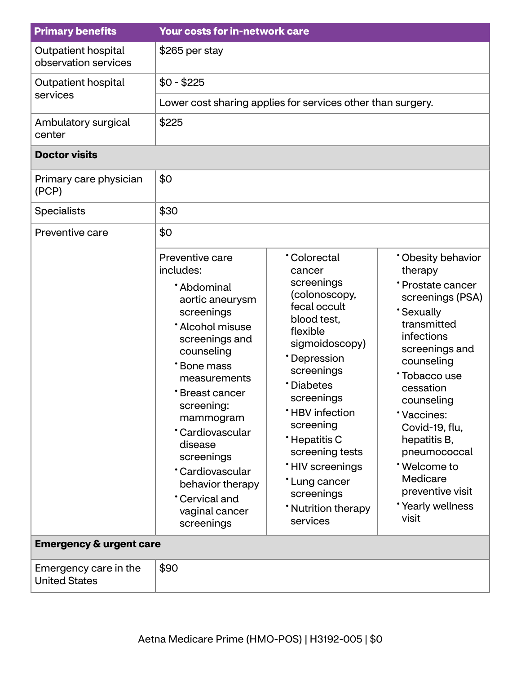| <b>Primary benefits</b>                       | <b>Your costs for in-network care</b>                                                                                                                                                                                                                                                                                                          |                                                                                                                                                                                                                                                                                                                                             |                                                                                                                                                                                                                                                                                                                                             |  |
|-----------------------------------------------|------------------------------------------------------------------------------------------------------------------------------------------------------------------------------------------------------------------------------------------------------------------------------------------------------------------------------------------------|---------------------------------------------------------------------------------------------------------------------------------------------------------------------------------------------------------------------------------------------------------------------------------------------------------------------------------------------|---------------------------------------------------------------------------------------------------------------------------------------------------------------------------------------------------------------------------------------------------------------------------------------------------------------------------------------------|--|
| Outpatient hospital<br>observation services   | \$265 per stay                                                                                                                                                                                                                                                                                                                                 |                                                                                                                                                                                                                                                                                                                                             |                                                                                                                                                                                                                                                                                                                                             |  |
| Outpatient hospital                           | $$0 - $225$                                                                                                                                                                                                                                                                                                                                    |                                                                                                                                                                                                                                                                                                                                             |                                                                                                                                                                                                                                                                                                                                             |  |
| services                                      |                                                                                                                                                                                                                                                                                                                                                | Lower cost sharing applies for services other than surgery.                                                                                                                                                                                                                                                                                 |                                                                                                                                                                                                                                                                                                                                             |  |
| Ambulatory surgical<br>center                 | \$225                                                                                                                                                                                                                                                                                                                                          |                                                                                                                                                                                                                                                                                                                                             |                                                                                                                                                                                                                                                                                                                                             |  |
| <b>Doctor visits</b>                          |                                                                                                                                                                                                                                                                                                                                                |                                                                                                                                                                                                                                                                                                                                             |                                                                                                                                                                                                                                                                                                                                             |  |
| Primary care physician<br>(PCP)               | \$0                                                                                                                                                                                                                                                                                                                                            |                                                                                                                                                                                                                                                                                                                                             |                                                                                                                                                                                                                                                                                                                                             |  |
| <b>Specialists</b>                            | \$30                                                                                                                                                                                                                                                                                                                                           |                                                                                                                                                                                                                                                                                                                                             |                                                                                                                                                                                                                                                                                                                                             |  |
| Preventive care                               | \$0                                                                                                                                                                                                                                                                                                                                            |                                                                                                                                                                                                                                                                                                                                             |                                                                                                                                                                                                                                                                                                                                             |  |
|                                               | Preventive care<br>includes:<br>*Abdominal<br>aortic aneurysm<br>screenings<br>* Alcohol misuse<br>screenings and<br>counseling<br>*Bone mass<br>measurements<br>*Breast cancer<br>screening:<br>mammogram<br>*Cardiovascular<br>disease<br>screenings<br>*Cardiovascular<br>behavior therapy<br>*Cervical and<br>vaginal cancer<br>screenings | <b>Colorectal</b><br>cancer<br>screenings<br>(colonoscopy,<br>fecal occult<br>blood test,<br>flexible<br>sigmoidoscopy)<br>*Depression<br>screenings<br><b>Diabetes</b><br>screenings<br>*HBV infection<br>screening<br>*Hepatitis C<br>screening tests<br>*HIV screenings<br>*Lung cancer<br>screenings<br>* Nutrition therapy<br>services | * Obesity behavior<br>therapy<br>*Prostate cancer<br>screenings (PSA)<br><b>Sexually</b><br>transmitted<br>infections<br>screenings and<br>counseling<br>Tobacco use<br>cessation<br>counseling<br>*Vaccines:<br>Covid-19, flu,<br>hepatitis B,<br>pneumococcal<br>*Welcome to<br>Medicare<br>preventive visit<br>*Yearly wellness<br>visit |  |
| <b>Emergency &amp; urgent care</b>            |                                                                                                                                                                                                                                                                                                                                                |                                                                                                                                                                                                                                                                                                                                             |                                                                                                                                                                                                                                                                                                                                             |  |
| Emergency care in the<br><b>United States</b> | \$90                                                                                                                                                                                                                                                                                                                                           |                                                                                                                                                                                                                                                                                                                                             |                                                                                                                                                                                                                                                                                                                                             |  |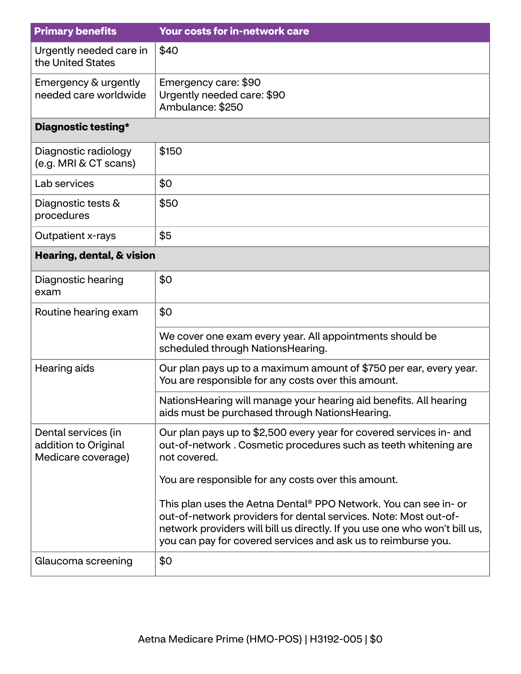| <b>Primary benefits</b>                                           | Your costs for in-network care                                                                                                                                                                                                                                                      |
|-------------------------------------------------------------------|-------------------------------------------------------------------------------------------------------------------------------------------------------------------------------------------------------------------------------------------------------------------------------------|
| Urgently needed care in<br>the United States                      | \$40                                                                                                                                                                                                                                                                                |
| Emergency & urgently<br>needed care worldwide                     | Emergency care: \$90<br>Urgently needed care: \$90<br>Ambulance: \$250                                                                                                                                                                                                              |
| Diagnostic testing*                                               |                                                                                                                                                                                                                                                                                     |
| Diagnostic radiology<br>(e.g. MRI & CT scans)                     | \$150                                                                                                                                                                                                                                                                               |
| Lab services                                                      | \$0                                                                                                                                                                                                                                                                                 |
| Diagnostic tests &<br>procedures                                  | \$50                                                                                                                                                                                                                                                                                |
| Outpatient x-rays                                                 | \$5                                                                                                                                                                                                                                                                                 |
| Hearing, dental, & vision                                         |                                                                                                                                                                                                                                                                                     |
| Diagnostic hearing<br>exam                                        | \$0                                                                                                                                                                                                                                                                                 |
| Routine hearing exam                                              | \$0                                                                                                                                                                                                                                                                                 |
|                                                                   | We cover one exam every year. All appointments should be<br>scheduled through NationsHearing.                                                                                                                                                                                       |
| Hearing aids                                                      | Our plan pays up to a maximum amount of \$750 per ear, every year.<br>You are responsible for any costs over this amount.                                                                                                                                                           |
|                                                                   | NationsHearing will manage your hearing aid benefits. All hearing<br>aids must be purchased through NationsHearing.                                                                                                                                                                 |
| Dental services (in<br>addition to Original<br>Medicare coverage) | Our plan pays up to \$2,500 every year for covered services in- and<br>out-of-network. Cosmetic procedures such as teeth whitening are<br>not covered.                                                                                                                              |
|                                                                   | You are responsible for any costs over this amount.                                                                                                                                                                                                                                 |
|                                                                   | This plan uses the Aetna Dental® PPO Network. You can see in- or<br>out-of-network providers for dental services. Note: Most out-of-<br>network providers will bill us directly. If you use one who won't bill us,<br>you can pay for covered services and ask us to reimburse you. |
| Glaucoma screening                                                | \$0                                                                                                                                                                                                                                                                                 |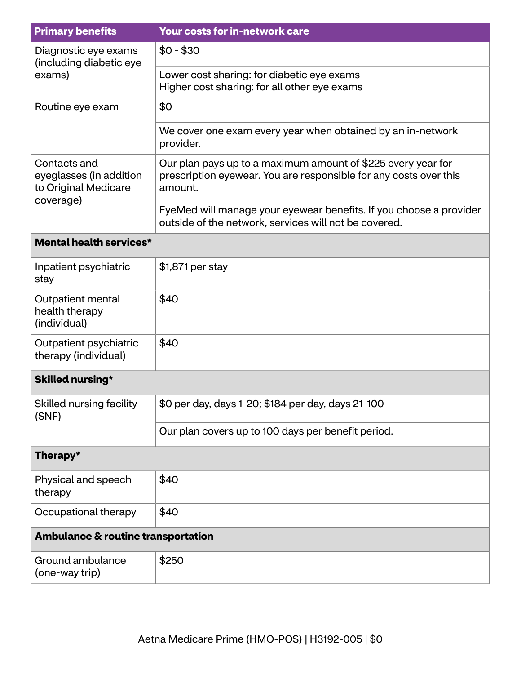| <b>Primary benefits</b>                                                      | Your costs for in-network care                                                                                                               |
|------------------------------------------------------------------------------|----------------------------------------------------------------------------------------------------------------------------------------------|
| Diagnostic eye exams<br>(including diabetic eye<br>exams)                    | $$0 - $30$                                                                                                                                   |
|                                                                              | Lower cost sharing: for diabetic eye exams<br>Higher cost sharing: for all other eye exams                                                   |
| Routine eye exam                                                             | \$0                                                                                                                                          |
|                                                                              | We cover one exam every year when obtained by an in-network<br>provider.                                                                     |
| Contacts and<br>eyeglasses (in addition<br>to Original Medicare<br>coverage) | Our plan pays up to a maximum amount of \$225 every year for<br>prescription eyewear. You are responsible for any costs over this<br>amount. |
|                                                                              | EyeMed will manage your eyewear benefits. If you choose a provider<br>outside of the network, services will not be covered.                  |
| <b>Mental health services*</b>                                               |                                                                                                                                              |
| Inpatient psychiatric<br>stay                                                | \$1,871 per stay                                                                                                                             |
| Outpatient mental<br>health therapy<br>(individual)                          | \$40                                                                                                                                         |
| Outpatient psychiatric<br>therapy (individual)                               | \$40                                                                                                                                         |
| <b>Skilled nursing*</b>                                                      |                                                                                                                                              |
| Skilled nursing facility<br>(SNF)                                            | \$0 per day, days 1-20; \$184 per day, days 21-100                                                                                           |
|                                                                              | Our plan covers up to 100 days per benefit period.                                                                                           |
| Therapy*                                                                     |                                                                                                                                              |
| Physical and speech<br>therapy                                               | \$40                                                                                                                                         |
| Occupational therapy                                                         | \$40                                                                                                                                         |
| Ambulance & routine transportation                                           |                                                                                                                                              |
| Ground ambulance<br>(one-way trip)                                           | \$250                                                                                                                                        |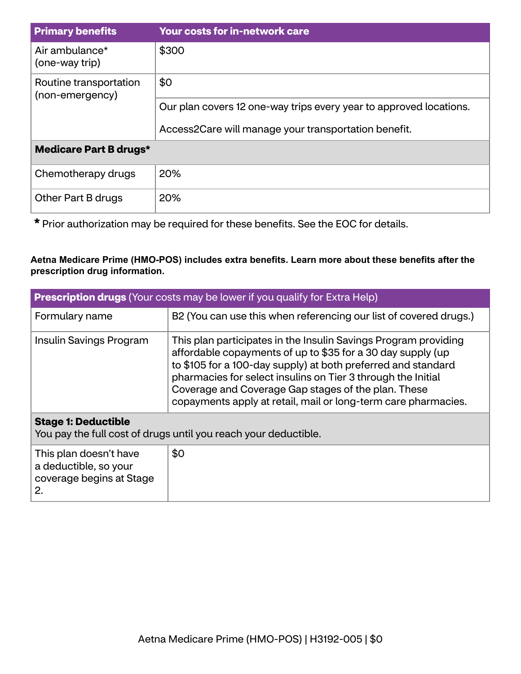| <b>Primary benefits</b>                   | <b>Your costs for in-network care</b>                              |
|-------------------------------------------|--------------------------------------------------------------------|
| Air ambulance*<br>(one-way trip)          | \$300                                                              |
| Routine transportation<br>(non-emergency) | \$0                                                                |
|                                           | Our plan covers 12 one-way trips every year to approved locations. |
|                                           | Access2Care will manage your transportation benefit.               |
| <b>Medicare Part B drugs*</b>             |                                                                    |
| Chemotherapy drugs                        | 20%                                                                |
| Other Part B drugs                        | 20%                                                                |

**\*** Prior authorization may be required for these benefits. See the EOC for details.

## **Aetna Medicare Prime (HMO-POS) includes extra benefits. Learn more about these benefits after the prescription drug information.**

| <b>Prescription drugs</b> (Your costs may be lower if you qualify for Extra Help) |                                                                                                                                                                                                                                                                                                                                                                                          |  |
|-----------------------------------------------------------------------------------|------------------------------------------------------------------------------------------------------------------------------------------------------------------------------------------------------------------------------------------------------------------------------------------------------------------------------------------------------------------------------------------|--|
| Formulary name                                                                    | B2 (You can use this when referencing our list of covered drugs.)                                                                                                                                                                                                                                                                                                                        |  |
| Insulin Savings Program                                                           | This plan participates in the Insulin Savings Program providing<br>affordable copayments of up to \$35 for a 30 day supply (up<br>to \$105 for a 100-day supply) at both preferred and standard<br>pharmacies for select insulins on Tier 3 through the Initial<br>Coverage and Coverage Gap stages of the plan. These<br>copayments apply at retail, mail or long-term care pharmacies. |  |
| <b>Stage 1: Deductible</b>                                                        | You pay the full cost of drugs until you reach your deductible.                                                                                                                                                                                                                                                                                                                          |  |
| This plan doesn't have<br>a deductible, so your<br>coverage begins at Stage<br>2. | \$0                                                                                                                                                                                                                                                                                                                                                                                      |  |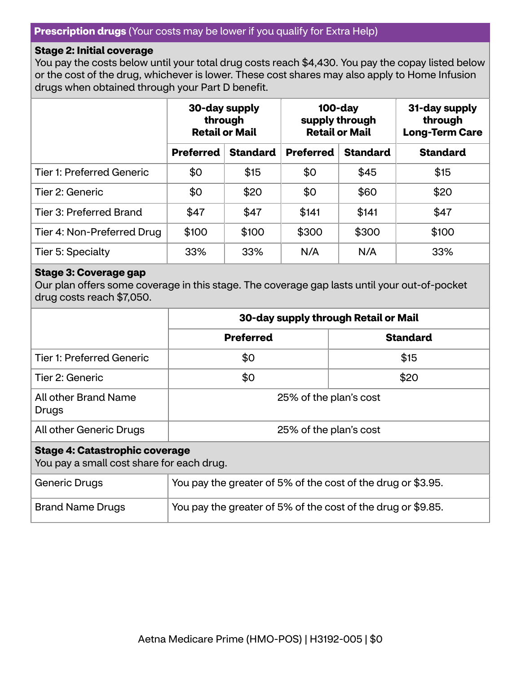#### **Prescription drugs** (Your costs may be lower if you qualify for Extra Help)

#### **Stage 2: Initial coverage**

You pay the costs below until your total drug costs reach \$4,430. You pay the copay listed below or the cost of the drug, whichever is lower. These cost shares may also apply to Home Infusion drugs when obtained through your Part D benefit.

|                                  | 30-day supply<br>through<br><b>Retail or Mail</b> |                 | $100$ -day<br>supply through<br><b>Retail or Mail</b> |                 | 31-day supply<br>through<br><b>Long-Term Care</b> |
|----------------------------------|---------------------------------------------------|-----------------|-------------------------------------------------------|-----------------|---------------------------------------------------|
|                                  | <b>Preferred</b>                                  | <b>Standard</b> | <b>Preferred</b>                                      | <b>Standard</b> | <b>Standard</b>                                   |
| <b>Tier 1: Preferred Generic</b> | \$0                                               | \$15            | \$0                                                   | \$45            | \$15                                              |
| Tier 2: Generic                  | \$0                                               | \$20            | \$0                                                   | \$60            | \$20                                              |
| Tier 3: Preferred Brand          | \$47                                              | \$47            | \$141                                                 | \$141           | \$47                                              |
| Tier 4: Non-Preferred Drug       | \$100                                             | \$100           | \$300                                                 | \$300           | \$100                                             |
| Tier 5: Specialty                | 33%                                               | 33%             | N/A                                                   | N/A             | 33%                                               |

#### **Stage 3: Coverage gap**

Our plan offers some coverage in this stage. The coverage gap lasts until your out-of-pocket drug costs reach \$7,050.

|                                                                                    | 30-day supply through Retail or Mail                         |                 |  |
|------------------------------------------------------------------------------------|--------------------------------------------------------------|-----------------|--|
|                                                                                    | <b>Preferred</b>                                             | <b>Standard</b> |  |
| <b>Tier 1: Preferred Generic</b>                                                   | \$0                                                          | \$15            |  |
| Tier 2: Generic                                                                    | \$0                                                          | \$20            |  |
| All other Brand Name<br>Drugs                                                      | 25% of the plan's cost                                       |                 |  |
| All other Generic Drugs                                                            | 25% of the plan's cost                                       |                 |  |
| <b>Stage 4: Catastrophic coverage</b><br>You pay a small cost share for each drug. |                                                              |                 |  |
| Generic Drugs                                                                      | You pay the greater of 5% of the cost of the drug or \$3.95. |                 |  |

| <b>Brand Name Drugs</b> | You pay the greater of 5% of the cost of the drug or \$9.85. |  |
|-------------------------|--------------------------------------------------------------|--|
|-------------------------|--------------------------------------------------------------|--|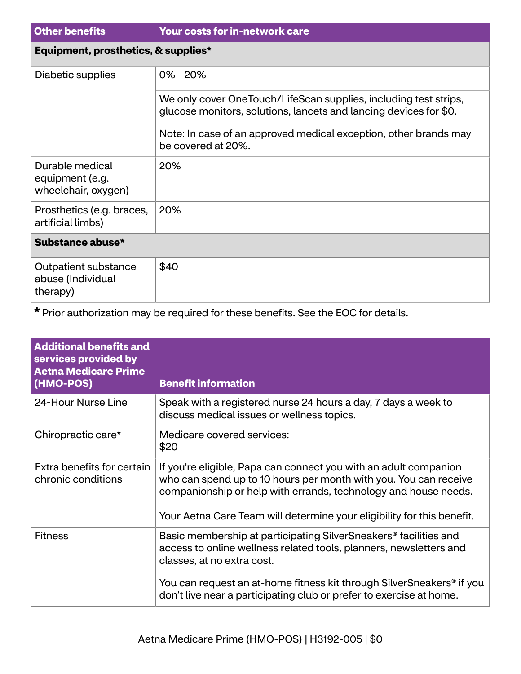| <b>Other benefits</b>                                     | <b>Your costs for in-network care</b>                                                                                                                                                                                           |
|-----------------------------------------------------------|---------------------------------------------------------------------------------------------------------------------------------------------------------------------------------------------------------------------------------|
| Equipment, prosthetics, & supplies*                       |                                                                                                                                                                                                                                 |
| Diabetic supplies                                         | $0\% - 20\%$                                                                                                                                                                                                                    |
|                                                           | We only cover OneTouch/LifeScan supplies, including test strips,<br>glucose monitors, solutions, lancets and lancing devices for \$0.<br>Note: In case of an approved medical exception, other brands may<br>be covered at 20%. |
| Durable medical<br>equipment (e.g.<br>wheelchair, oxygen) | 20%                                                                                                                                                                                                                             |
| Prosthetics (e.g. braces,<br>artificial limbs)            | 20%                                                                                                                                                                                                                             |
| Substance abuse*                                          |                                                                                                                                                                                                                                 |
| Outpatient substance<br>abuse (Individual<br>therapy)     | \$40                                                                                                                                                                                                                            |

**\*** Prior authorization may be required for these benefits. See the EOC for details.

| <b>Additional benefits and</b><br>services provided by<br><b>Aetna Medicare Prime</b><br>(HMO-POS) | <b>Benefit information</b>                                                                                                                                                                                                                                                        |
|----------------------------------------------------------------------------------------------------|-----------------------------------------------------------------------------------------------------------------------------------------------------------------------------------------------------------------------------------------------------------------------------------|
| 24-Hour Nurse Line                                                                                 | Speak with a registered nurse 24 hours a day, 7 days a week to<br>discuss medical issues or wellness topics.                                                                                                                                                                      |
| Chiropractic care*                                                                                 | Medicare covered services:<br>\$20                                                                                                                                                                                                                                                |
| Extra benefits for certain<br>chronic conditions                                                   | If you're eligible, Papa can connect you with an adult companion<br>who can spend up to 10 hours per month with you. You can receive<br>companionship or help with errands, technology and house needs.<br>Your Aetna Care Team will determine your eligibility for this benefit. |
| <b>Fitness</b>                                                                                     | Basic membership at participating SilverSneakers <sup>®</sup> facilities and<br>access to online wellness related tools, planners, newsletters and<br>classes, at no extra cost.                                                                                                  |
|                                                                                                    | You can request an at-home fitness kit through SilverSneakers® if you<br>don't live near a participating club or prefer to exercise at home.                                                                                                                                      |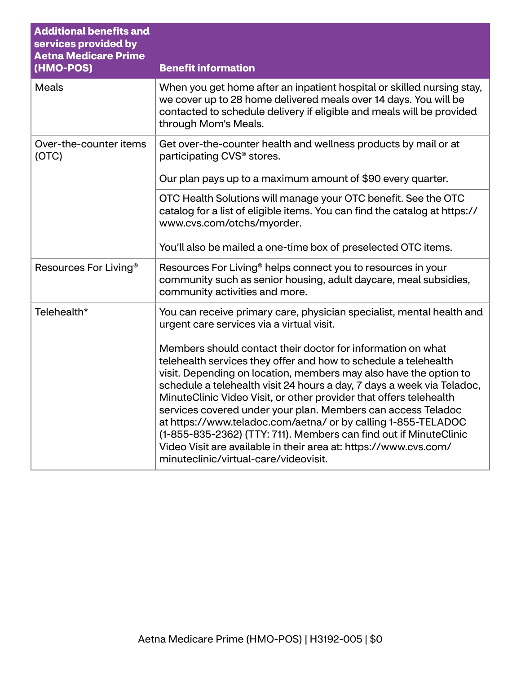| <b>Additional benefits and</b><br>services provided by<br><b>Aetna Medicare Prime</b> |                                                                                                                                                                                                                                                                                                                                                                                                                                                                                                                                                                                                                                                                        |
|---------------------------------------------------------------------------------------|------------------------------------------------------------------------------------------------------------------------------------------------------------------------------------------------------------------------------------------------------------------------------------------------------------------------------------------------------------------------------------------------------------------------------------------------------------------------------------------------------------------------------------------------------------------------------------------------------------------------------------------------------------------------|
| (HMO-POS)                                                                             | <b>Benefit information</b>                                                                                                                                                                                                                                                                                                                                                                                                                                                                                                                                                                                                                                             |
| <b>Meals</b>                                                                          | When you get home after an inpatient hospital or skilled nursing stay,<br>we cover up to 28 home delivered meals over 14 days. You will be<br>contacted to schedule delivery if eligible and meals will be provided<br>through Mom's Meals.                                                                                                                                                                                                                                                                                                                                                                                                                            |
| Over-the-counter items<br>(OTC)                                                       | Get over-the-counter health and wellness products by mail or at<br>participating CVS <sup>®</sup> stores.                                                                                                                                                                                                                                                                                                                                                                                                                                                                                                                                                              |
|                                                                                       | Our plan pays up to a maximum amount of \$90 every quarter.                                                                                                                                                                                                                                                                                                                                                                                                                                                                                                                                                                                                            |
|                                                                                       | OTC Health Solutions will manage your OTC benefit. See the OTC<br>catalog for a list of eligible items. You can find the catalog at https://<br>www.cvs.com/otchs/myorder.                                                                                                                                                                                                                                                                                                                                                                                                                                                                                             |
|                                                                                       | You'll also be mailed a one-time box of preselected OTC items.                                                                                                                                                                                                                                                                                                                                                                                                                                                                                                                                                                                                         |
| Resources For Living <sup>®</sup>                                                     | Resources For Living <sup>®</sup> helps connect you to resources in your<br>community such as senior housing, adult daycare, meal subsidies,<br>community activities and more.                                                                                                                                                                                                                                                                                                                                                                                                                                                                                         |
| Telehealth*                                                                           | You can receive primary care, physician specialist, mental health and<br>urgent care services via a virtual visit.                                                                                                                                                                                                                                                                                                                                                                                                                                                                                                                                                     |
|                                                                                       | Members should contact their doctor for information on what<br>telehealth services they offer and how to schedule a telehealth<br>visit. Depending on location, members may also have the option to<br>schedule a telehealth visit 24 hours a day, 7 days a week via Teladoc,<br>MinuteClinic Video Visit, or other provider that offers telehealth<br>services covered under your plan. Members can access Teladoc<br>at https://www.teladoc.com/aetna/ or by calling 1-855-TELADOC<br>(1-855-835-2362) (TTY: 711). Members can find out if MinuteClinic<br>Video Visit are available in their area at: https://www.cvs.com/<br>minuteclinic/virtual-care/videovisit. |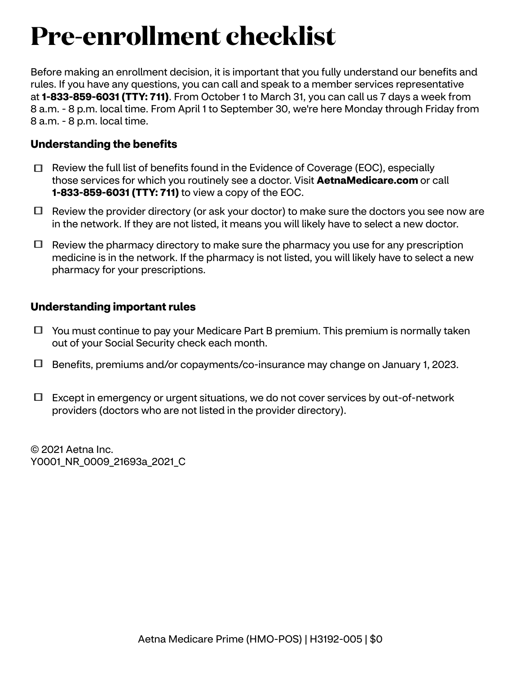## **Pre-enrollment checklist**

Before making an enrollment decision, it is important that you fully understand our benefits and rules. If you have any questions, you can call and speak to a member services representative at **1-833-859-6031 (TTY: 711)**. From October 1 to March 31, you can call us 7 days a week from 8 a.m. - 8 p.m. local time. From April 1 to September 30, we're here Monday through Friday from 8 a.m. - 8 p.m. local time.

## **Understanding the benefits**

- $\Box$  Review the full list of benefits found in the Evidence of Coverage (EOC), especially those services for which you routinely see a doctor. Visit **[AetnaMedicare.com](http://AetnaMedicare.com)** or call **1-833-859-6031 (TTY: 711)** to view a copy of the EOC.
- $\Box$  Review the provider directory (or ask your doctor) to make sure the doctors you see now are in the network. If they are not listed, it means you will likely have to select a new doctor.
- $\Box$  Review the pharmacy directory to make sure the pharmacy you use for any prescription medicine is in the network. If the pharmacy is not listed, you will likely have to select a new pharmacy for your prescriptions.

### **Understanding important rules**

- $\Box$  You must continue to pay your Medicare Part B premium. This premium is normally taken out of your Social Security check each month.
- Benefits, premiums and/or copayments/co-insurance may change on January 1, 2023.
- $\Box$  Except in emergency or urgent situations, we do not cover services by out-of-network providers (doctors who are not listed in the provider directory).

© 2021 Aetna Inc. Y0001\_NR\_0009\_21693a\_2021\_C